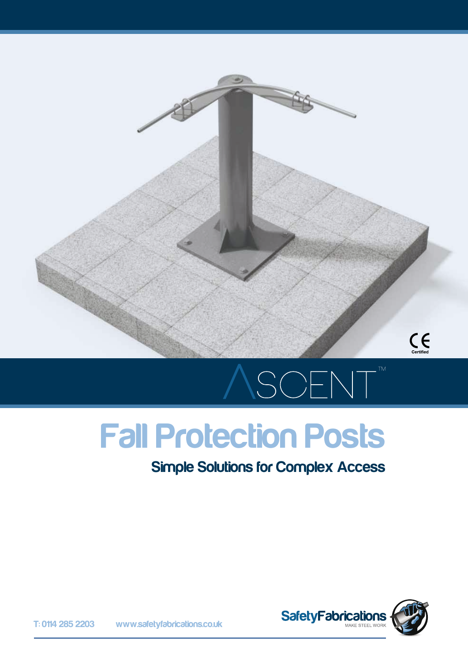

# SCENT

# Fall Protection Posts

#### Simple Solutions for Complex Access



T: 0114 285 2203 www.safetyfabrications.co.uk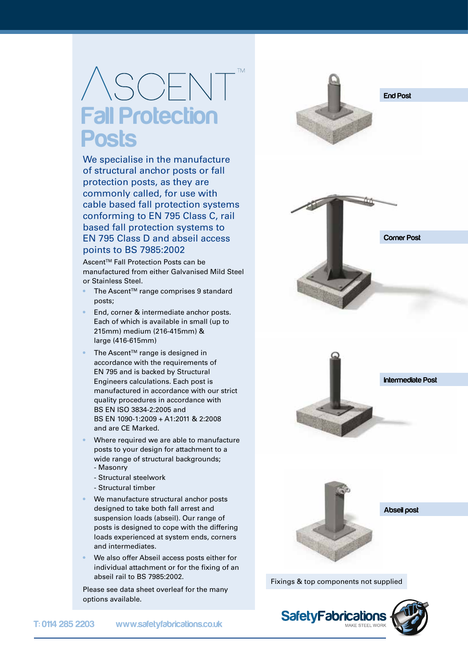### $SSCH$ **Fall Protection Posts**

We specialise in the manufacture of structural anchor posts or fall protection posts, as they are commonly called, for use with cable based fall protection systems conforming to EN 795 Class C, rail based fall protection systems to EN 795 Class D and abseil access points to BS 7985:2002

Ascent™ Fall Protection Posts can be manufactured from either Galvanised Mild Steel or Stainless Steel.

- The Ascent™ range comprises 9 standard posts;
- End, corner & intermediate anchor posts. Each of which is available in small (up to 215mm) medium (216-415mm) & large (416-615mm)
- The Ascent<sup>™</sup> range is designed in accordance with the requirements of EN 795 and is backed by Structural Engineers calculations. Each post is manufactured in accordance with our strict quality procedures in accordance with BS EN ISO 3834-2:2005 and BS EN 1090-1:2009 + A1:2011 & 2:2008 and are CE Marked.
- Where required we are able to manufacture posts to your design for attachment to a wide range of structural backgrounds; - Masonry
	- Structural steelwork
	- Structural timber
- We manufacture structural anchor posts designed to take both fall arrest and suspension loads (abseil). Our range of posts is designed to cope with the differing loads experienced at system ends, corners and intermediates.
- We also offer Abseil access posts either for individual attachment or for the fixing of an abseil rail to BS 7985:2002.

Please see data sheet overleaf for the many options available.

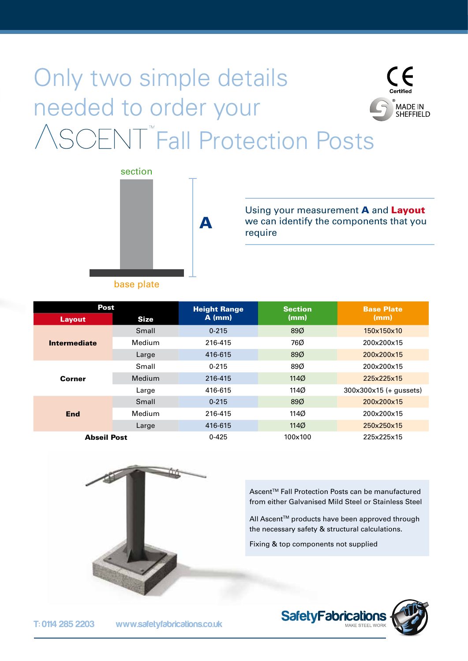#### Only two simple details needed to order your MADE IN<br>SHEFFIELD **SOFNT<sup>"</sup>Fall Protection Posts**

A



Using your measurement **A** and **Layout** we can identify the components that you require

|  | pase plate. |
|--|-------------|
|  |             |
|  |             |

| <b>Post</b>         |             | <b>Height Range</b> | <b>Section</b> | <b>Base Plate</b>        |
|---------------------|-------------|---------------------|----------------|--------------------------|
| <b>Layout</b>       | <b>Size</b> | $A$ (mm)            | (mm)           | (mm)                     |
| <b>Intermediate</b> | Small       | $0 - 215$           | 89%            | 150x150x10               |
|                     | Medium      | 216-415             | 76Ø            | 200x200x15               |
|                     | Large       | 416-615             | 89%            | 200x200x15               |
|                     | Small       | $0 - 215$           | 89Ø            | 200x200x15               |
| Corner              | Medium      | 216-415             | 1140           | 225x225x15               |
|                     | Large       | 416-615             | 114Ø           | $300x300x15 (+$ gussets) |
|                     | Small       | $0 - 215$           | 89%            | 200x200x15               |
| End                 | Medium      | 216-415             | 114Ø           | 200x200x15               |
|                     | Large       | 416-615             | 1140           | 250x250x15               |
| <b>Abseil Post</b>  |             | $0 - 425$           | 100x100        | 225x225x15               |



Ascent™ Fall Protection Posts can be manufactured from either Galvanised Mild Steel or Stainless Steel

All Ascent™ products have been approved through the necessary safety & structural calculations.

Fixing & top components not supplied